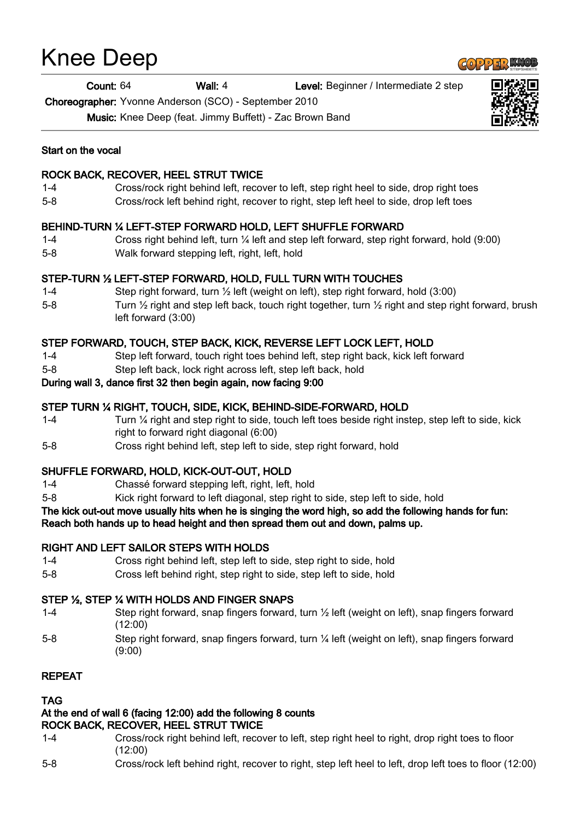# Knee Deep

# Count: 64 Wall: 4 Level: Beginner / Intermediate 2 step

Choreographer: Yvonne Anderson (SCO) - September 2010

Music: Knee Deep (feat. Jimmy Buffett) - Zac Brown Band

#### Start on the vocal

## ROCK BACK, RECOVER, HEEL STRUT TWICE

- 1-4 Cross/rock right behind left, recover to left, step right heel to side, drop right toes
- 5-8 Cross/rock left behind right, recover to right, step left heel to side, drop left toes

## BEHIND-TURN ¼ LEFT-STEP FORWARD HOLD, LEFT SHUFFLE FORWARD

- 1-4 Cross right behind left, turn ¼ left and step left forward, step right forward, hold (9:00)
- 5-8 Walk forward stepping left, right, left, hold

## STEP-TURN ½ LEFT-STEP FORWARD, HOLD, FULL TURN WITH TOUCHES

- 1-4 Step right forward, turn ½ left (weight on left), step right forward, hold (3:00)
- 5-8 Turn 1/2 right and step left back, touch right together, turn 1/2 right and step right forward, brush left forward (3:00)

# STEP FORWARD, TOUCH, STEP BACK, KICK, REVERSE LEFT LOCK LEFT, HOLD

- 1-4 Step left forward, touch right toes behind left, step right back, kick left forward
- 5-8 Step left back, lock right across left, step left back, hold

#### During wall 3, dance first 32 then begin again, now facing 9:00

## STEP TURN ¼ RIGHT, TOUCH, SIDE, KICK, BEHIND-SIDE-FORWARD, HOLD

- 1-4 Turn ¼ right and step right to side, touch left toes beside right instep, step left to side, kick right to forward right diagonal (6:00)
- 5-8 Cross right behind left, step left to side, step right forward, hold

## SHUFFLE FORWARD, HOLD, KICK-OUT-OUT, HOLD

- 1-4 Chassé forward stepping left, right, left, hold
- 5-8 Kick right forward to left diagonal, step right to side, step left to side, hold

#### The kick out-out move usually hits when he is singing the word high, so add the following hands for fun: Reach both hands up to head height and then spread them out and down, palms up.

## RIGHT AND LEFT SAILOR STEPS WITH HOLDS

- 1-4 Cross right behind left, step left to side, step right to side, hold
- 5-8 Cross left behind right, step right to side, step left to side, hold

# STEP ½, STEP ¼ WITH HOLDS AND FINGER SNAPS

- 1-4 Step right forward, snap fingers forward, turn ½ left (weight on left), snap fingers forward (12:00)
- 5-8 Step right forward, snap fingers forward, turn ¼ left (weight on left), snap fingers forward (9:00)

## REPEAT

## TAG

#### At the end of wall 6 (facing 12:00) add the following 8 counts ROCK BACK, RECOVER, HEEL STRUT TWICE

- 1-4 Cross/rock right behind left, recover to left, step right heel to right, drop right toes to floor (12:00)
- 5-8 Cross/rock left behind right, recover to right, step left heel to left, drop left toes to floor (12:00)